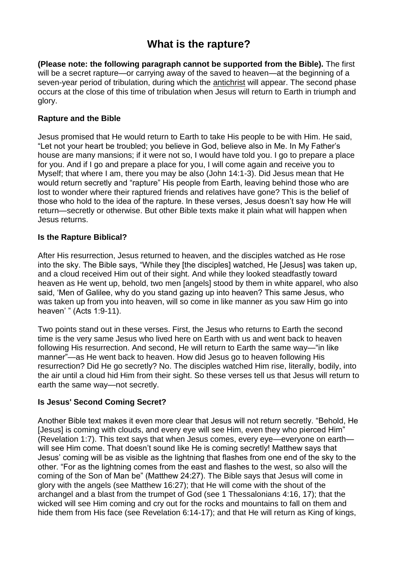# **What is the rapture?**

**(Please note: the following paragraph cannot be supported from the Bible).** The first will be a secret rapture—or carrying away of the saved to heaven—at the beginning of a seven-year period of tribulation, during which the [antichrist](https://ilford.adventistchurch.org.uk/bibleinfo_topics/antichrist) will appear. The second phase occurs at the close of this time of tribulation when Jesus will return to Earth in triumph and glory.

## **Rapture and the Bible**

Jesus promised that He would return to Earth to take His people to be with Him. He said, "Let not your heart be troubled; you believe in God, believe also in Me. In My Father's house are many mansions; if it were not so, I would have told you. I go to prepare a place for you. And if I go and prepare a place for you, I will come again and receive you to Myself; that where I am, there you may be also (John 14:1-3). Did Jesus mean that He would return secretly and "rapture" His people from Earth, leaving behind those who are lost to wonder where their raptured friends and relatives have gone? This is the belief of those who hold to the idea of the rapture. In these verses, Jesus doesn't say how He will return—secretly or otherwise. But other Bible texts make it plain what will happen when Jesus returns.

### **Is the Rapture Biblical?**

After His resurrection, Jesus returned to heaven, and the disciples watched as He rose into the sky. The Bible says, "While they [the disciples] watched, He [Jesus] was taken up, and a cloud received Him out of their sight. And while they looked steadfastly toward heaven as He went up, behold, two men [angels] stood by them in white apparel, who also said, 'Men of Galilee, why do you stand gazing up into heaven? This same Jesus, who was taken up from you into heaven, will so come in like manner as you saw Him go into heaven' " (Acts 1:9-11).

Two points stand out in these verses. First, the Jesus who returns to Earth the second time is the very same Jesus who lived here on Earth with us and went back to heaven following His resurrection. And second, He will return to Earth the same way—"in like manner"—as He went back to heaven. How did Jesus go to heaven following His resurrection? Did He go secretly? No. The disciples watched Him rise, literally, bodily, into the air until a cloud hid Him from their sight. So these verses tell us that Jesus will return to earth the same way—not secretly.

## **Is Jesus' Second Coming Secret?**

Another Bible text makes it even more clear that Jesus will not return secretly. "Behold, He [Jesus] is coming with clouds, and every eye will see Him, even they who pierced Him" (Revelation 1:7). This text says that when Jesus comes, every eye—everyone on earth will see Him come. That doesn't sound like He is coming secretly! Matthew says that Jesus' coming will be as visible as the lightning that flashes from one end of the sky to the other. "For as the lightning comes from the east and flashes to the west, so also will the coming of the Son of Man be" (Matthew 24:27). The Bible says that Jesus will come in glory with the angels (see Matthew 16:27); that He will come with the shout of the archangel and a blast from the trumpet of God (see 1 Thessalonians 4:16, 17); that the wicked will see Him coming and cry out for the rocks and mountains to fall on them and hide them from His face (see Revelation 6:14-17); and that He will return as King of kings,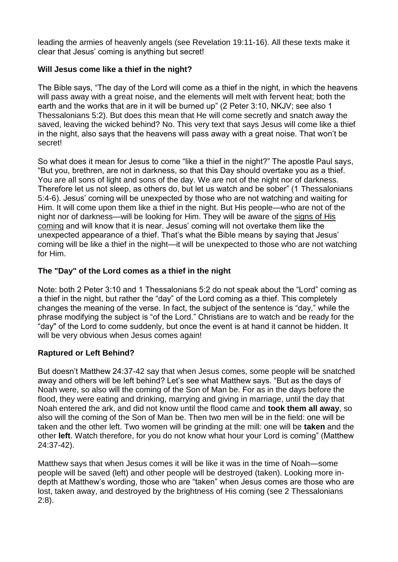leading the armies of heavenly angels (see Revelation 19:11-16). All these texts make it clear that Jesus' coming is anything but secret!

## **Will Jesus come like a thief in the night?**

The Bible says, "The day of the Lord will come as a thief in the night, in which the heavens will pass away with a great noise, and the elements will melt with fervent heat; both the earth and the works that are in it will be burned up" (2 Peter 3:10, NKJV; see also 1 Thessalonians 5:2). But does this mean that He will come secretly and snatch away the saved, leaving the wicked behind? No. This very text that says Jesus will come like a thief in the night, also says that the heavens will pass away with a great noise. That won't be secret!

So what does it mean for Jesus to come "like a thief in the night?" The apostle Paul says, "But you, brethren, are not in darkness, so that this Day should overtake you as a thief. You are all sons of light and sons of the day. We are not of the night nor of darkness. Therefore let us not sleep, as others do, but let us watch and be sober" (1 Thessalonians 5:4-6). Jesus' coming will be unexpected by those who are not watching and waiting for Him. It will come upon them like a thief in the night. But His people—who are not of the night nor of darkness—will be looking for Him. They will be aware of the [signs](https://ilford.adventistchurch.org.uk/bibleinfo_topics/signs-jesus-coming) of His [coming](https://ilford.adventistchurch.org.uk/bibleinfo_topics/signs-jesus-coming) and will know that it is near. Jesus' coming will not overtake them like the unexpected appearance of a thief. That's what the Bible means by saying that Jesus' coming will be like a thief in the night—it will be unexpected to those who are not watching for Him.

# **The "Day" of the Lord comes as a thief in the night**

Note: both 2 Peter 3:10 and 1 Thessalonians 5:2 do not speak about the "Lord" coming as a thief in the night, but rather the "day" of the Lord coming as a thief. This completely changes the meaning of the verse. In fact, the subject of the sentence is "day," while the phrase modifying the subject is "of the Lord." Christians are to watch and be ready for the "day" of the Lord to come suddenly, but once the event is at hand it cannot be hidden. It will be very obvious when Jesus comes again!

## **Raptured or Left Behind?**

But doesn't Matthew 24:37-42 say that when Jesus comes, some people will be snatched away and others will be left behind? Let's see what Matthew says. "But as the days of Noah were, so also will the coming of the Son of Man be. For as in the days before the flood, they were eating and drinking, marrying and giving in marriage, until the day that Noah entered the ark, and did not know until the flood came and **took them all away**, so also will the coming of the Son of Man be. Then two men will be in the field: one will be taken and the other left. Two women will be grinding at the mill: one will be **taken** and the other **left**. Watch therefore, for you do not know what hour your Lord is coming" (Matthew 24:37-42).

Matthew says that when Jesus comes it will be like it was in the time of Noah—some people will be saved (left) and other people will be destroyed (taken). Looking more indepth at Matthew's wording, those who are "taken" when Jesus comes are those who are lost, taken away, and destroyed by the brightness of His coming (see 2 Thessalonians 2:8).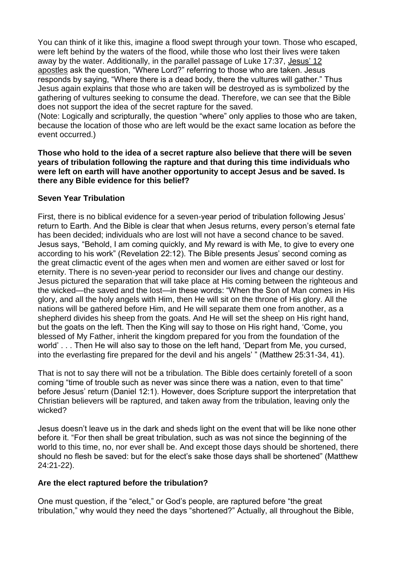You can think of it like this, imagine a flood swept through your town. Those who escaped, were left behind by the waters of the flood, while those who lost their lives were taken away by the water. Additionally, in the parallel passage of Luke 17:37, [Jesus'](https://ilford.adventistchurch.org.uk/bibleinfo_questions/who-were-twelve-disciples) 12 [apostles](https://ilford.adventistchurch.org.uk/bibleinfo_questions/who-were-twelve-disciples) ask the question, "Where Lord?" referring to those who are taken. Jesus responds by saying, "Where there is a dead body, there the vultures will gather." Thus Jesus again explains that those who are taken will be destroyed as is symbolized by the gathering of vultures seeking to consume the dead. Therefore, we can see that the Bible does not support the idea of the secret rapture for the saved.

(Note: Logically and scripturally, the question "where" only applies to those who are taken, because the location of those who are left would be the exact same location as before the event occurred.)

#### **Those who hold to the idea of a secret rapture also believe that there will be seven years of tribulation following the rapture and that during this time individuals who were left on earth will have another opportunity to accept Jesus and be saved. Is there any Bible evidence for this belief?**

#### **Seven Year Tribulation**

First, there is no biblical evidence for a seven-year period of tribulation following Jesus' return to Earth. And the Bible is clear that when Jesus returns, every person's eternal fate has been decided; individuals who are lost will not have a second chance to be saved. Jesus says, "Behold, I am coming quickly, and My reward is with Me, to give to every one according to his work" (Revelation 22:12). The Bible presents Jesus' second coming as the great climactic event of the ages when men and women are either saved or lost for eternity. There is no seven-year period to reconsider our lives and change our destiny. Jesus pictured the separation that will take place at His coming between the righteous and the wicked—the saved and the lost—in these words: "When the Son of Man comes in His glory, and all the holy angels with Him, then He will sit on the throne of His glory. All the nations will be gathered before Him, and He will separate them one from another, as a shepherd divides his sheep from the goats. And He will set the sheep on His right hand, but the goats on the left. Then the King will say to those on His right hand, 'Come, you blessed of My Father, inherit the kingdom prepared for you from the foundation of the world' . . . Then He will also say to those on the left hand, 'Depart from Me, you cursed, into the everlasting fire prepared for the devil and his angels' " (Matthew 25:31-34, 41).

That is not to say there will not be a tribulation. The Bible does certainly foretell of a soon coming "time of trouble such as never was since there was a nation, even to that time" before Jesus' return (Daniel 12:1). However, does Scripture support the interpretation that Christian believers will be raptured, and taken away from the tribulation, leaving only the wicked?

Jesus doesn't leave us in the dark and sheds light on the event that will be like none other before it. "For then shall be great tribulation, such as was not since the beginning of the world to this time, no, nor ever shall be. And except those days should be shortened, there should no flesh be saved: but for the elect's sake those days shall be shortened" (Matthew 24:21-22).

#### **Are the elect raptured before the tribulation?**

One must question, if the "elect," or God's people, are raptured before "the great tribulation," why would they need the days "shortened?" Actually, all throughout the Bible,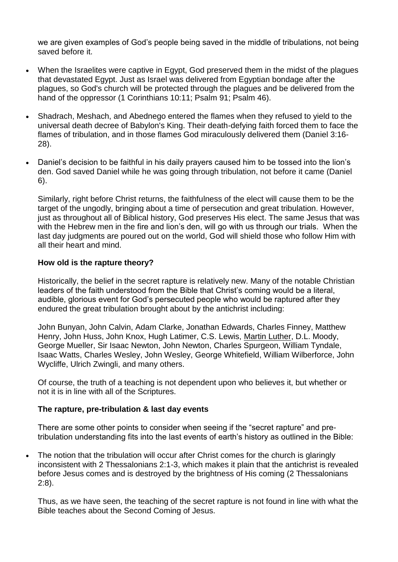we are given examples of God's people being saved in the middle of tribulations, not being saved before it.

- When the Israelites were captive in Egypt, God preserved them in the midst of the plagues that devastated Egypt. Just as Israel was delivered from Egyptian bondage after the plagues, so God's church will be protected through the plagues and be delivered from the hand of the oppressor (1 Corinthians 10:11; Psalm 91; Psalm 46).
- Shadrach, Meshach, and Abednego entered the flames when they refused to yield to the universal death decree of Babylon's King. Their death-defying faith forced them to face the flames of tribulation, and in those flames God miraculously delivered them (Daniel 3:16- 28).
- Daniel's decision to be faithful in his daily prayers caused him to be tossed into the lion's den. God saved Daniel while he was going through tribulation, not before it came (Daniel 6).

Similarly, right before Christ returns, the faithfulness of the elect will cause them to be the target of the ungodly, bringing about a time of persecution and great tribulation. However, just as throughout all of Biblical history, God preserves His elect. The same Jesus that was with the Hebrew men in the fire and lion's den, will go with us through our trials. When the last day judgments are poured out on the world, God will shield those who follow Him with all their heart and mind.

#### **How old is the rapture theory?**

Historically, the belief in the secret rapture is relatively new. Many of the notable Christian leaders of the faith understood from the Bible that Christ's coming would be a literal, audible, glorious event for God's persecuted people who would be raptured after they endured the great tribulation brought about by the antichrist including:

John Bunyan, John Calvin, Adam Clarke, Jonathan Edwards, Charles Finney, Matthew Henry, John Huss, John Knox, Hugh Latimer, C.S. Lewis, Martin [Luther,](https://ilford.adventistchurch.org.uk/bibleinfo_questions/who-was-martin-luther) D.L. Moody, George Mueller, Sir Isaac Newton, John Newton, Charles Spurgeon, William Tyndale, Isaac Watts, Charles Wesley, John Wesley, George Whitefield, William Wilberforce, John Wycliffe, Ulrich Zwingli, and many others.

Of course, the truth of a teaching is not dependent upon who believes it, but whether or not it is in line with all of the Scriptures.

#### **The rapture, pre-tribulation & last day events**

There are some other points to consider when seeing if the "secret rapture" and pretribulation understanding fits into the last events of earth's history as outlined in the Bible:

 The notion that the tribulation will occur after Christ comes for the church is glaringly inconsistent with 2 Thessalonians 2:1-3, which makes it plain that the antichrist is revealed before Jesus comes and is destroyed by the brightness of His coming (2 Thessalonians 2:8).

Thus, as we have seen, the teaching of the secret rapture is not found in line with what the Bible teaches about the Second Coming of Jesus.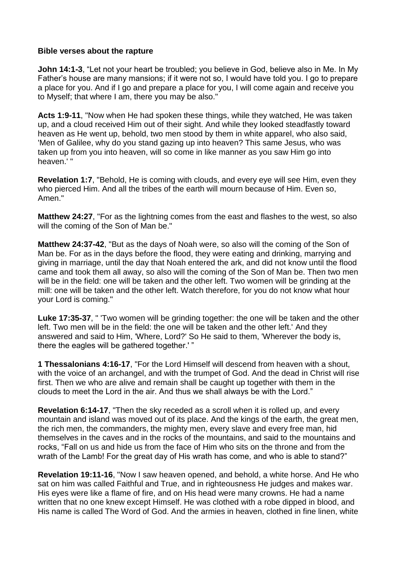#### **Bible verses about the rapture**

**John 14:1-3**, "Let not your heart be troubled; you believe in God, believe also in Me. In My Father's house are many mansions; if it were not so, I would have told you. I go to prepare a place for you. And if I go and prepare a place for you, I will come again and receive you to Myself; that where I am, there you may be also."

**Acts 1:9-11**, "Now when He had spoken these things, while they watched, He was taken up, and a cloud received Him out of their sight. And while they looked steadfastly toward heaven as He went up, behold, two men stood by them in white apparel, who also said, 'Men of Galilee, why do you stand gazing up into heaven? This same Jesus, who was taken up from you into heaven, will so come in like manner as you saw Him go into heaven.' "

**Revelation 1:7**, "Behold, He is coming with clouds, and every eye will see Him, even they who pierced Him. And all the tribes of the earth will mourn because of Him. Even so, Amen."

**Matthew 24:27**, "For as the lightning comes from the east and flashes to the west, so also will the coming of the Son of Man be."

**Matthew 24:37-42**, "But as the days of Noah were, so also will the coming of the Son of Man be. For as in the days before the flood, they were eating and drinking, marrying and giving in marriage, until the day that Noah entered the ark, and did not know until the flood came and took them all away, so also will the coming of the Son of Man be. Then two men will be in the field: one will be taken and the other left. Two women will be grinding at the mill: one will be taken and the other left. Watch therefore, for you do not know what hour your Lord is coming."

**Luke 17:35-37**, " 'Two women will be grinding together: the one will be taken and the other left. Two men will be in the field: the one will be taken and the other left.' And they answered and said to Him, 'Where, Lord?' So He said to them, 'Wherever the body is, there the eagles will be gathered together.' "

**1 Thessalonians 4:16-17**, "For the Lord Himself will descend from heaven with a shout, with the voice of an archangel, and with the trumpet of God. And the dead in Christ will rise first. Then we who are alive and remain shall be caught up together with them in the clouds to meet the Lord in the air. And thus we shall always be with the Lord."

**Revelation 6:14-17**, "Then the sky receded as a scroll when it is rolled up, and every mountain and island was moved out of its place. And the kings of the earth, the great men, the rich men, the commanders, the mighty men, every slave and every free man, hid themselves in the caves and in the rocks of the mountains, and said to the mountains and rocks, "Fall on us and hide us from the face of Him who sits on the throne and from the wrath of the Lamb! For the great day of His wrath has come, and who is able to stand?"

**Revelation 19:11-16**, "Now I saw heaven opened, and behold, a white horse. And He who sat on him was called Faithful and True, and in righteousness He judges and makes war. His eyes were like a flame of fire, and on His head were many crowns. He had a name written that no one knew except Himself. He was clothed with a robe dipped in blood, and His name is called The Word of God. And the armies in heaven, clothed in fine linen, white